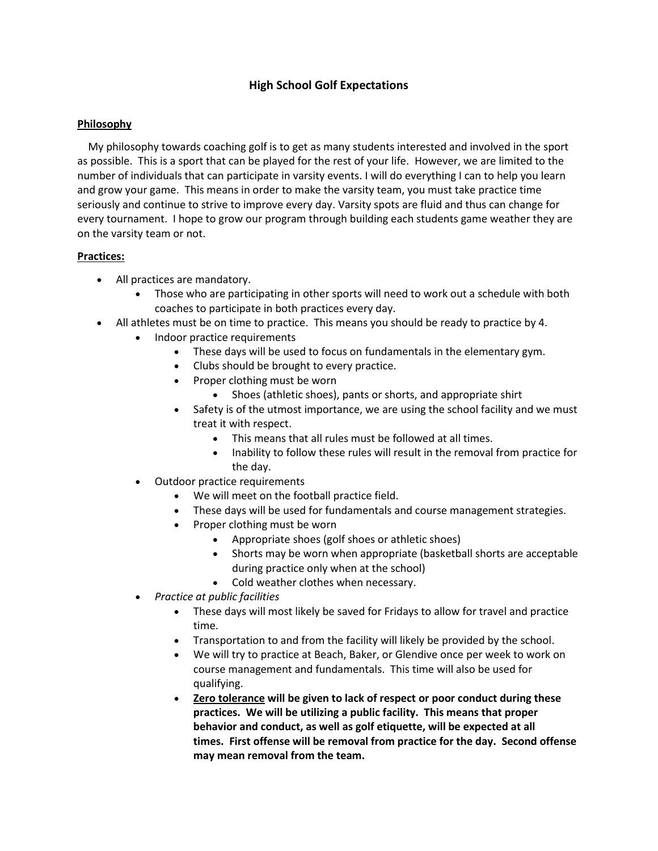# **High School Golf Expectations**

### **Philosophy**

 My philosophy towards coaching golf is to get as many students interested and involved in the sport as possible. This is a sport that can be played for the rest of your life. However, we are limited to the number of individuals that can participate in varsity events. I will do everything I can to help you learn and grow your game. This means in order to make the varsity team, you must take practice time seriously and continue to strive to improve every day. Varsity spots are fluid and thus can change for every tournament. I hope to grow our program through building each students game weather they are on the varsity team or not.

## **Practices:**

- All practices are mandatory.
	- Those who are participating in other sports will need to work out a schedule with both coaches to participate in both practices every day.
- All athletes must be on time to practice. This means you should be ready to practice by 4.
	- Indoor practice requirements
		- These days will be used to focus on fundamentals in the elementary gym.
		- Clubs should be brought to every practice.
		- Proper clothing must be worn
			- Shoes (athletic shoes), pants or shorts, and appropriate shirt
		- Safety is of the utmost importance, we are using the school facility and we must treat it with respect.
			- This means that all rules must be followed at all times.
			- Inability to follow these rules will result in the removal from practice for the day.
	- Outdoor practice requirements
		- We will meet on the football practice field.
		- These days will be used for fundamentals and course management strategies.
		- Proper clothing must be worn
			- Appropriate shoes (golf shoes or athletic shoes)
			- Shorts may be worn when appropriate (basketball shorts are acceptable during practice only when at the school)
			- Cold weather clothes when necessary.
	- *Practice at public facilities*
		- These days will most likely be saved for Fridays to allow for travel and practice time.
		- Transportation to and from the facility will likely be provided by the school.
		- We will try to practice at Beach, Baker, or Glendive once per week to work on course management and fundamentals. This time will also be used for qualifying.
		- **Zero tolerance will be given to lack of respect or poor conduct during these practices. We will be utilizing a public facility. This means that proper behavior and conduct, as well as golf etiquette, will be expected at all times. First offense will be removal from practice for the day. Second offense may mean removal from the team.**